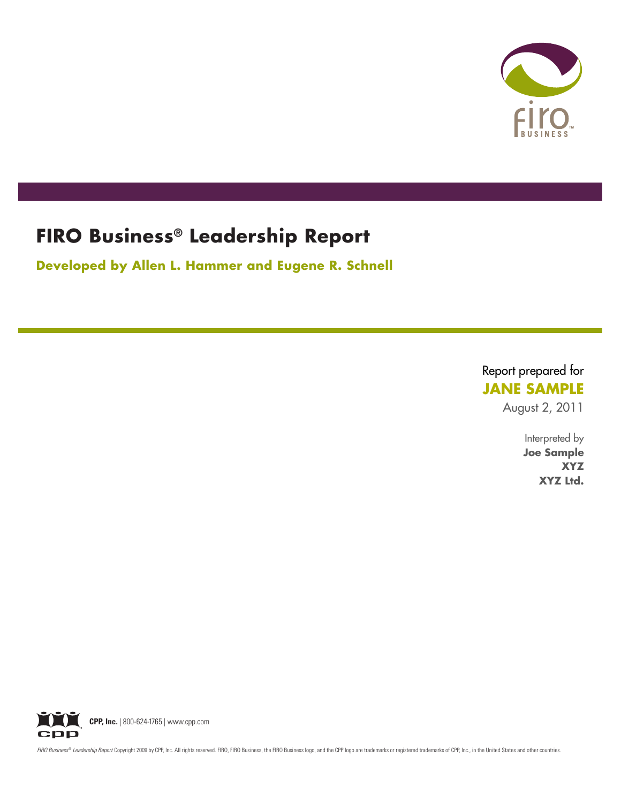

# **FIRO Business® Leadership Report**

**Developed by Allen L. Hammer and Eugene R. Schnell**

## Report prepared for **JANE SAMPLE**

August 2, 2011

Interpreted by **Joe Sample XYZ XYZ Ltd.**



FIRO Business® Leadership Report Copyright 2009 by CPP, Inc. All rights reserved. FIRO, FIRO Business, the FIRO Business logo, and the CPP logo are trademarks or registered trademarks of CPP, Inc., in the United States and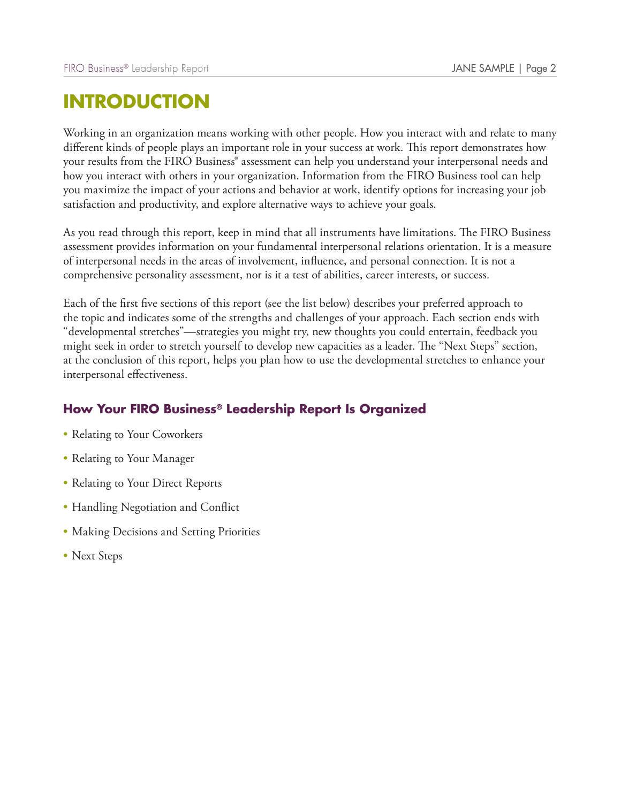# **INTRODUCTION**

Working in an organization means working with other people. How you interact with and relate to many different kinds of people plays an important role in your success at work. This report demonstrates how your results from the FIRO Business® assessment can help you understand your interpersonal needs and how you interact with others in your organization. Information from the FIRO Business tool can help you maximize the impact of your actions and behavior at work, identify options for increasing your job satisfaction and productivity, and explore alternative ways to achieve your goals.

As you read through this report, keep in mind that all instruments have limitations. The FIRO Business assessment provides information on your fundamental interpersonal relations orientation. It is a measure of interpersonal needs in the areas of involvement, influence, and personal connection. It is not a comprehensive personality assessment, nor is it a test of abilities, career interests, or success.

Each of the first five sections of this report (see the list below) describes your preferred approach to the topic and indicates some of the strengths and challenges of your approach. Each section ends with "developmental stretches"—strategies you might try, new thoughts you could entertain, feedback you might seek in order to stretch yourself to develop new capacities as a leader. The "Next Steps" section, at the conclusion of this report, helps you plan how to use the developmental stretches to enhance your interpersonal effectiveness.

## **How Your FIRO Business® Leadership Report Is Organized**

- Relating to Your Coworkers
- Relating to Your Manager
- Relating to Your Direct Reports
- Handling Negotiation and Conflict
- Making Decisions and Setting Priorities
- Next Steps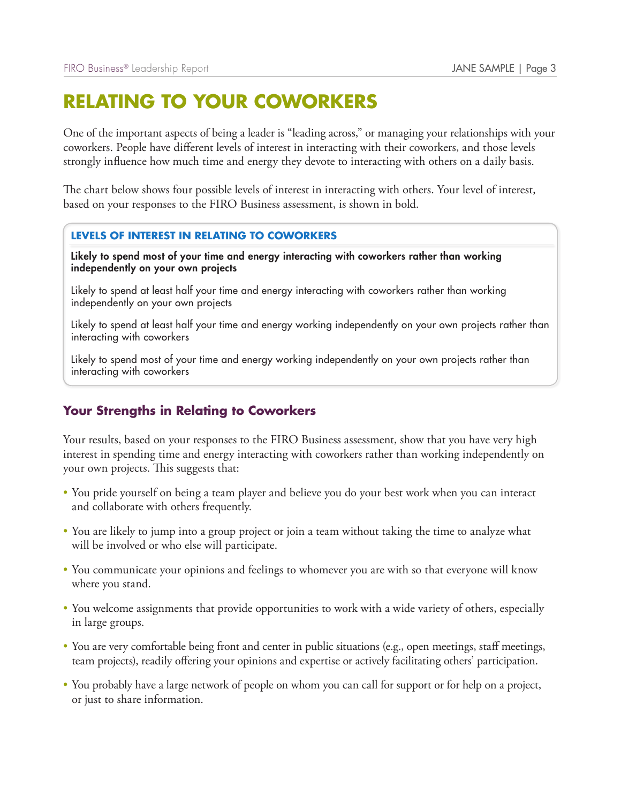# **RELATING TO YOUR COWORKERS**

One of the important aspects of being a leader is "leading across," or managing your relationships with your coworkers. People have different levels of interest in interacting with their coworkers, and those levels strongly influence how much time and energy they devote to interacting with others on a daily basis.

The chart below shows four possible levels of interest in interacting with others. Your level of interest, based on your responses to the FIRO Business assessment, is shown in bold.

#### **LEVELS OF INTEREST IN RELATING TO COWORKERS**

Likely to spend most of your time and energy interacting with coworkers rather than working independently on your own projects

Likely to spend at least half your time and energy interacting with coworkers rather than working independently on your own projects

Likely to spend at least half your time and energy working independently on your own projects rather than interacting with coworkers

Likely to spend most of your time and energy working independently on your own projects rather than interacting with coworkers

#### **Your Strengths in Relating to Coworkers**

Your results, based on your responses to the FIRO Business assessment, show that you have very high interest in spending time and energy interacting with coworkers rather than working independently on your own projects. This suggests that:

- You pride yourself on being a team player and believe you do your best work when you can interact and collaborate with others frequently.
- You are likely to jump into a group project or join a team without taking the time to analyze what will be involved or who else will participate.
- You communicate your opinions and feelings to whomever you are with so that everyone will know where you stand.
- You welcome assignments that provide opportunities to work with a wide variety of others, especially in large groups.
- You are very comfortable being front and center in public situations (e.g., open meetings, staff meetings, team projects), readily offering your opinions and expertise or actively facilitating others' participation.
- You probably have a large network of people on whom you can call for support or for help on a project, or just to share information.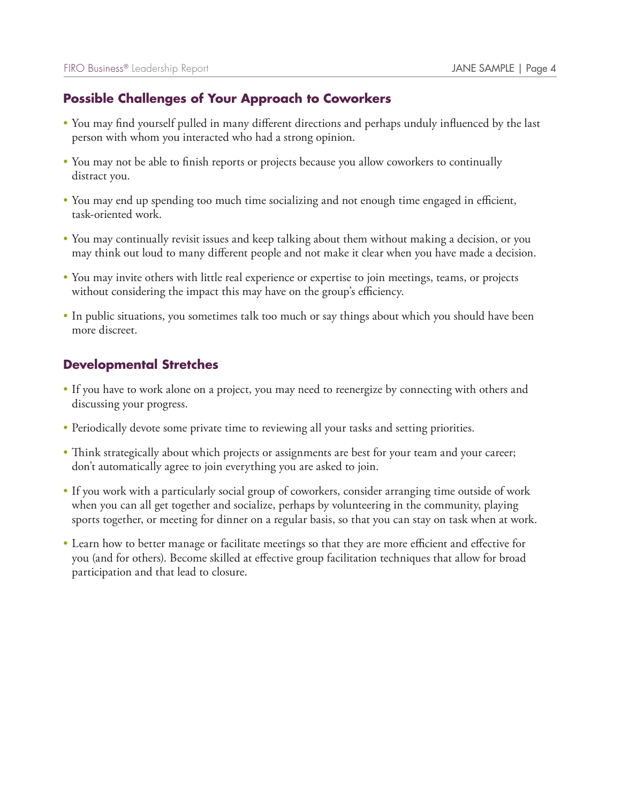## **Possible Challenges of Your Approach to Coworkers**

- You may find yourself pulled in many different directions and perhaps unduly influenced by the last person with whom you interacted who had a strong opinion.
- You may not be able to finish reports or projects because you allow coworkers to continually distract you.
- You may end up spending too much time socializing and not enough time engaged in efficient, task-oriented work.
- You may continually revisit issues and keep talking about them without making a decision, or you may think out loud to many different people and not make it clear when you have made a decision.
- You may invite others with little real experience or expertise to join meetings, teams, or projects without considering the impact this may have on the group's efficiency.
- In public situations, you sometimes talk too much or say things about which you should have been more discreet.

- If you have to work alone on a project, you may need to reenergize by connecting with others and discussing your progress.
- Periodically devote some private time to reviewing all your tasks and setting priorities.
- Think strategically about which projects or assignments are best for your team and your career; don't automatically agree to join everything you are asked to join.
- If you work with a particularly social group of coworkers, consider arranging time outside of work when you can all get together and socialize, perhaps by volunteering in the community, playing sports together, or meeting for dinner on a regular basis, so that you can stay on task when at work.
- Learn how to better manage or facilitate meetings so that they are more efficient and effective for you (and for others). Become skilled at effective group facilitation techniques that allow for broad participation and that lead to closure.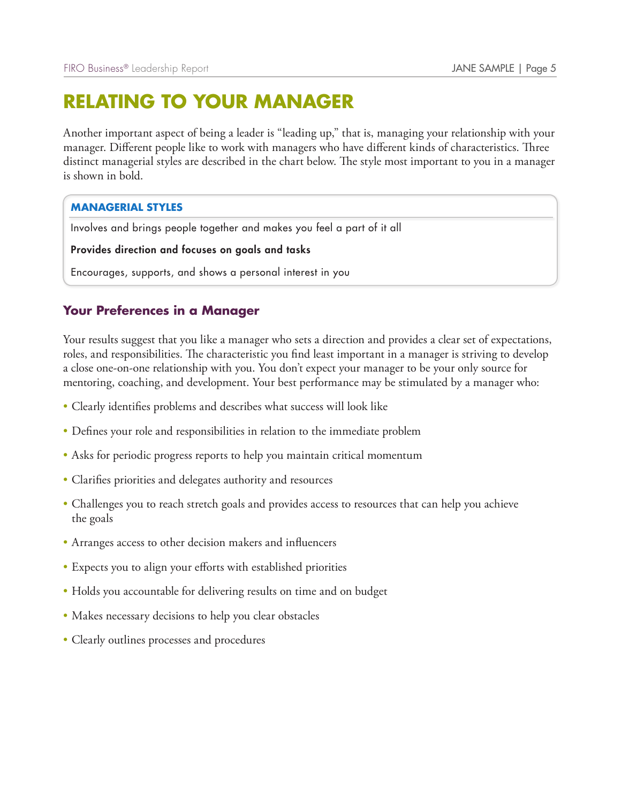# **RELATING TO YOUR MANAGER**

Another important aspect of being a leader is "leading up," that is, managing your relationship with your manager. Different people like to work with managers who have different kinds of characteristics. Three distinct managerial styles are described in the chart below. The style most important to you in a manager is shown in bold.

#### **MANAGERIAL STYLES**

Involves and brings people together and makes you feel a part of it all

Provides direction and focuses on goals and tasks

Encourages, supports, and shows a personal interest in you

### **Your Preferences in a Manager**

Your results suggest that you like a manager who sets a direction and provides a clear set of expectations, roles, and responsibilities. The characteristic you find least important in a manager is striving to develop a close one-on-one relationship with you. You don't expect your manager to be your only source for mentoring, coaching, and development. Your best performance may be stimulated by a manager who:

- Clearly identifies problems and describes what success will look like
- Defines your role and responsibilities in relation to the immediate problem
- Asks for periodic progress reports to help you maintain critical momentum
- Clarifies priorities and delegates authority and resources
- Challenges you to reach stretch goals and provides access to resources that can help you achieve the goals
- Arranges access to other decision makers and influencers
- Expects you to align your efforts with established priorities
- Holds you accountable for delivering results on time and on budget
- Makes necessary decisions to help you clear obstacles
- Clearly outlines processes and procedures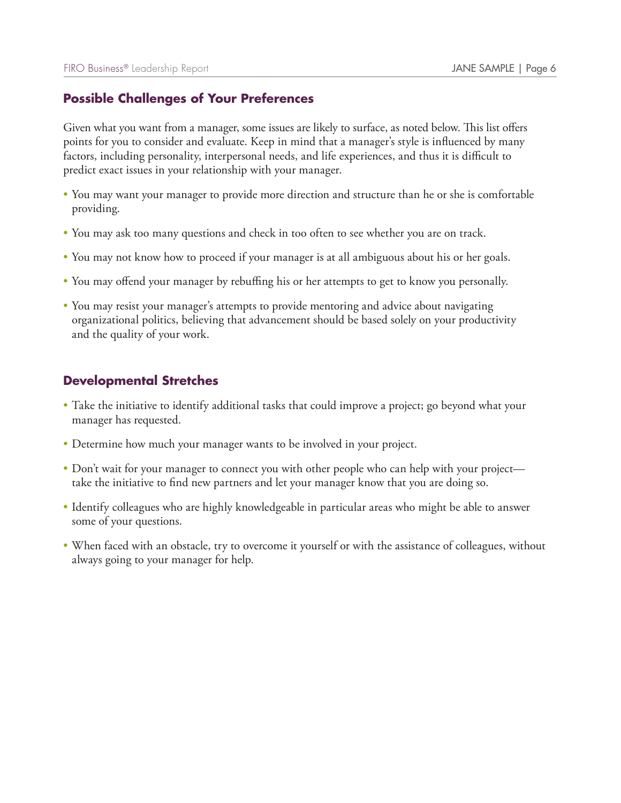### **Possible Challenges of Your Preferences**

Given what you want from a manager, some issues are likely to surface, as noted below. This list offers points for you to consider and evaluate. Keep in mind that a manager's style is influenced by many factors, including personality, interpersonal needs, and life experiences, and thus it is difficult to predict exact issues in your relationship with your manager.

- You may want your manager to provide more direction and structure than he or she is comfortable providing.
- You may ask too many questions and check in too often to see whether you are on track.
- You may not know how to proceed if your manager is at all ambiguous about his or her goals.
- You may offend your manager by rebuffing his or her attempts to get to know you personally.
- You may resist your manager's attempts to provide mentoring and advice about navigating organizational politics, believing that advancement should be based solely on your productivity and the quality of your work.

- Take the initiative to identify additional tasks that could improve a project; go beyond what your manager has requested.
- Determine how much your manager wants to be involved in your project.
- Don't wait for your manager to connect you with other people who can help with your project take the initiative to find new partners and let your manager know that you are doing so.
- Identify colleagues who are highly knowledgeable in particular areas who might be able to answer some of your questions.
- When faced with an obstacle, try to overcome it yourself or with the assistance of colleagues, without always going to your manager for help.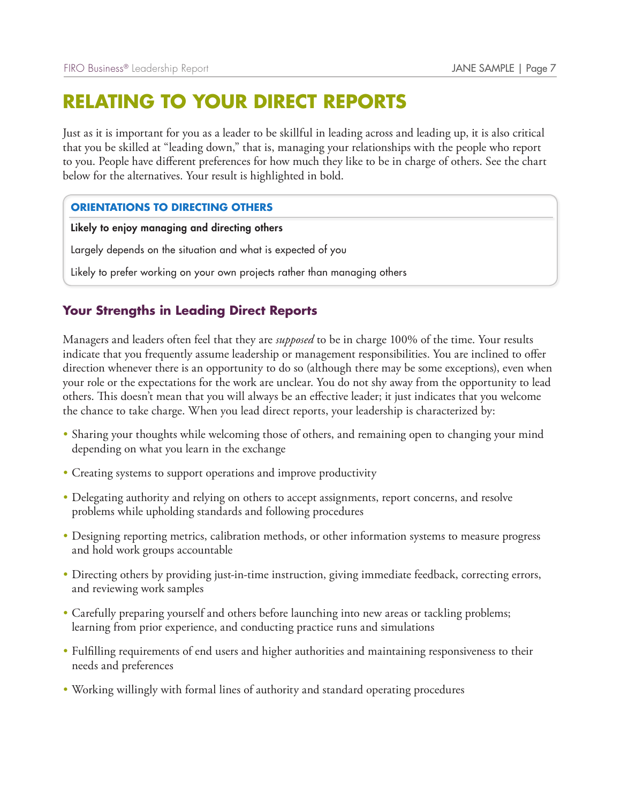# **RELATING TO YOUR DIRECT REPORTS**

Just as it is important for you as a leader to be skillful in leading across and leading up, it is also critical that you be skilled at "leading down," that is, managing your relationships with the people who report to you. People have different preferences for how much they like to be in charge of others. See the chart below for the alternatives. Your result is highlighted in bold.

#### **ORIENTATIONS TO DIRECTING OTHERS**

Likely to enjoy managing and directing others

Largely depends on the situation and what is expected of you

Likely to prefer working on your own projects rather than managing others

### **Your Strengths in Leading Direct Reports**

Managers and leaders often feel that they are *supposed* to be in charge 100% of the time. Your results indicate that you frequently assume leadership or management responsibilities. You are inclined to offer direction whenever there is an opportunity to do so (although there may be some exceptions), even when your role or the expectations for the work are unclear. You do not shy away from the opportunity to lead others. This doesn't mean that you will always be an effective leader; it just indicates that you welcome the chance to take charge. When you lead direct reports, your leadership is characterized by:

- Sharing your thoughts while welcoming those of others, and remaining open to changing your mind depending on what you learn in the exchange
- Creating systems to support operations and improve productivity
- Delegating authority and relying on others to accept assignments, report concerns, and resolve problems while upholding standards and following procedures
- Designing reporting metrics, calibration methods, or other information systems to measure progress and hold work groups accountable
- Directing others by providing just-in-time instruction, giving immediate feedback, correcting errors, and reviewing work samples
- Carefully preparing yourself and others before launching into new areas or tackling problems; learning from prior experience, and conducting practice runs and simulations
- Fulfilling requirements of end users and higher authorities and maintaining responsiveness to their needs and preferences
- Working willingly with formal lines of authority and standard operating procedures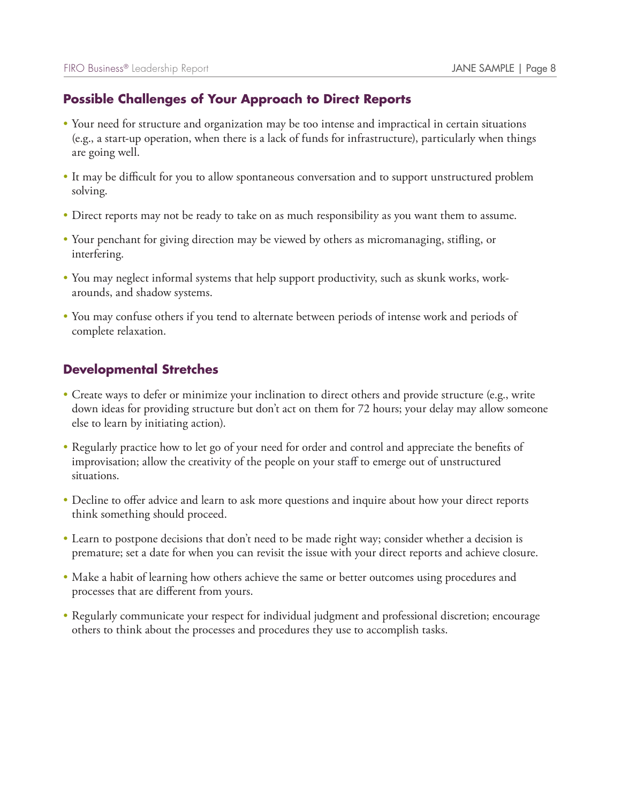## **Possible Challenges of Your Approach to Direct Reports**

- Your need for structure and organization may be too intense and impractical in certain situations (e.g., a start-up operation, when there is a lack of funds for infrastructure), particularly when things are going well.
- It may be difficult for you to allow spontaneous conversation and to support unstructured problem solving.
- Direct reports may not be ready to take on as much responsibility as you want them to assume.
- Your penchant for giving direction may be viewed by others as micromanaging, stifling, or interfering.
- You may neglect informal systems that help support productivity, such as skunk works, workarounds, and shadow systems.
- You may confuse others if you tend to alternate between periods of intense work and periods of complete relaxation.

- Create ways to defer or minimize your inclination to direct others and provide structure (e.g., write down ideas for providing structure but don't act on them for 72 hours; your delay may allow someone else to learn by initiating action).
- Regularly practice how to let go of your need for order and control and appreciate the benefits of improvisation; allow the creativity of the people on your staff to emerge out of unstructured situations.
- Decline to offer advice and learn to ask more questions and inquire about how your direct reports think something should proceed.
- Learn to postpone decisions that don't need to be made right way; consider whether a decision is premature; set a date for when you can revisit the issue with your direct reports and achieve closure.
- Make a habit of learning how others achieve the same or better outcomes using procedures and processes that are different from yours.
- Regularly communicate your respect for individual judgment and professional discretion; encourage others to think about the processes and procedures they use to accomplish tasks.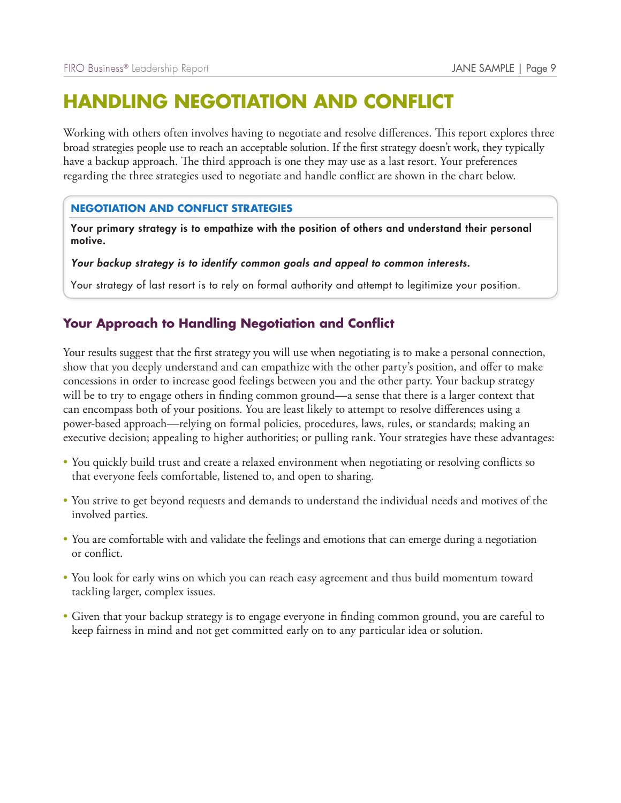# **HANDLING NEGOTIATION AND CONFLICT**

Working with others often involves having to negotiate and resolve differences. This report explores three broad strategies people use to reach an acceptable solution. If the first strategy doesn't work, they typically have a backup approach. The third approach is one they may use as a last resort. Your preferences regarding the three strategies used to negotiate and handle conflict are shown in the chart below.

#### **NEGOTIATION AND CONFLICT STRATEGIES**

Your primary strategy is to empathize with the position of others and understand their personal motive.

#### *Your backup strategy is to identify common goals and appeal to common interests.*

Your strategy of last resort is to rely on formal authority and attempt to legitimize your position.

### **Your Approach to Handling Negotiation and Conflict**

Your results suggest that the first strategy you will use when negotiating is to make a personal connection, show that you deeply understand and can empathize with the other party's position, and offer to make concessions in order to increase good feelings between you and the other party. Your backup strategy will be to try to engage others in finding common ground—a sense that there is a larger context that can encompass both of your positions. You are least likely to attempt to resolve differences using a power-based approach—relying on formal policies, procedures, laws, rules, or standards; making an executive decision; appealing to higher authorities; or pulling rank. Your strategies have these advantages:

- You quickly build trust and create a relaxed environment when negotiating or resolving conflicts so that everyone feels comfortable, listened to, and open to sharing.
- You strive to get beyond requests and demands to understand the individual needs and motives of the involved parties.
- You are comfortable with and validate the feelings and emotions that can emerge during a negotiation or conflict.
- You look for early wins on which you can reach easy agreement and thus build momentum toward tackling larger, complex issues.
- Given that your backup strategy is to engage everyone in finding common ground, you are careful to keep fairness in mind and not get committed early on to any particular idea or solution.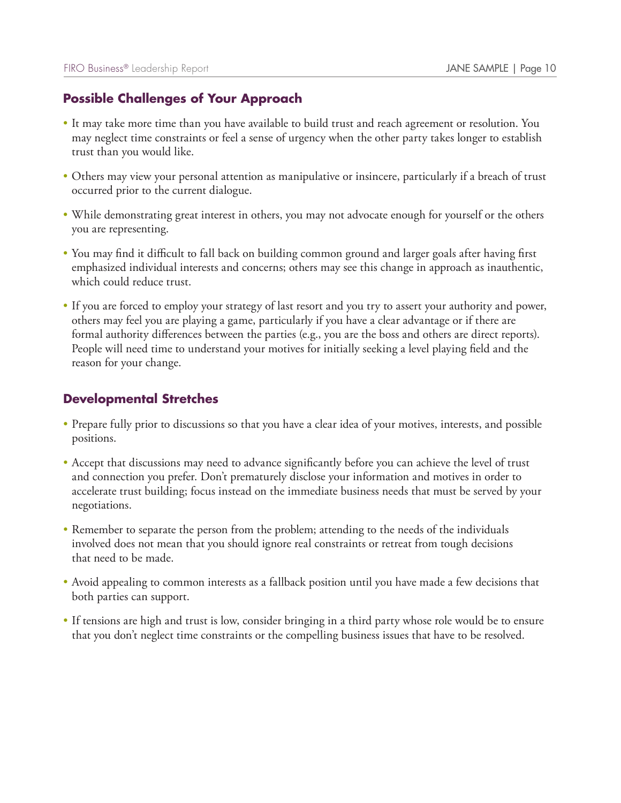## **Possible Challenges of Your Approach**

- It may take more time than you have available to build trust and reach agreement or resolution. You may neglect time constraints or feel a sense of urgency when the other party takes longer to establish trust than you would like.
- Others may view your personal attention as manipulative or insincere, particularly if a breach of trust occurred prior to the current dialogue.
- While demonstrating great interest in others, you may not advocate enough for yourself or the others you are representing.
- You may find it difficult to fall back on building common ground and larger goals after having first emphasized individual interests and concerns; others may see this change in approach as inauthentic, which could reduce trust.
- If you are forced to employ your strategy of last resort and you try to assert your authority and power, others may feel you are playing a game, particularly if you have a clear advantage or if there are formal authority differences between the parties (e.g., you are the boss and others are direct reports). People will need time to understand your motives for initially seeking a level playing field and the reason for your change.

- Prepare fully prior to discussions so that you have a clear idea of your motives, interests, and possible positions.
- Accept that discussions may need to advance significantly before you can achieve the level of trust and connection you prefer. Don't prematurely disclose your information and motives in order to accelerate trust building; focus instead on the immediate business needs that must be served by your negotiations.
- Remember to separate the person from the problem; attending to the needs of the individuals involved does not mean that you should ignore real constraints or retreat from tough decisions that need to be made.
- Avoid appealing to common interests as a fallback position until you have made a few decisions that both parties can support.
- If tensions are high and trust is low, consider bringing in a third party whose role would be to ensure that you don't neglect time constraints or the compelling business issues that have to be resolved.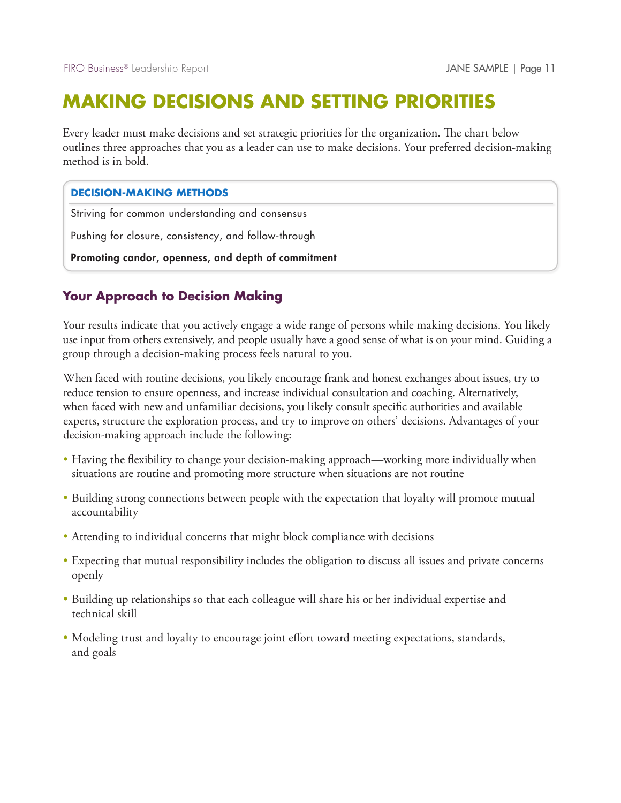# **MAKING DECISIONS AND SETTING PRIORITIES**

Every leader must make decisions and set strategic priorities for the organization. The chart below outlines three approaches that you as a leader can use to make decisions. Your preferred decision-making method is in bold.

#### **DECISION-MAKING METHODS**

Striving for common understanding and consensus

Pushing for closure, consistency, and follow-through

Promoting candor, openness, and depth of commitment

## **Your Approach to Decision Making**

Your results indicate that you actively engage a wide range of persons while making decisions. You likely use input from others extensively, and people usually have a good sense of what is on your mind. Guiding a group through a decision-making process feels natural to you.

When faced with routine decisions, you likely encourage frank and honest exchanges about issues, try to reduce tension to ensure openness, and increase individual consultation and coaching. Alternatively, when faced with new and unfamiliar decisions, you likely consult specific authorities and available experts, structure the exploration process, and try to improve on others' decisions. Advantages of your decision-making approach include the following:

- Having the flexibility to change your decision-making approach—working more individually when situations are routine and promoting more structure when situations are not routine
- Building strong connections between people with the expectation that loyalty will promote mutual accountability
- Attending to individual concerns that might block compliance with decisions
- Expecting that mutual responsibility includes the obligation to discuss all issues and private concerns openly
- Building up relationships so that each colleague will share his or her individual expertise and technical skill
- Modeling trust and loyalty to encourage joint effort toward meeting expectations, standards, and goals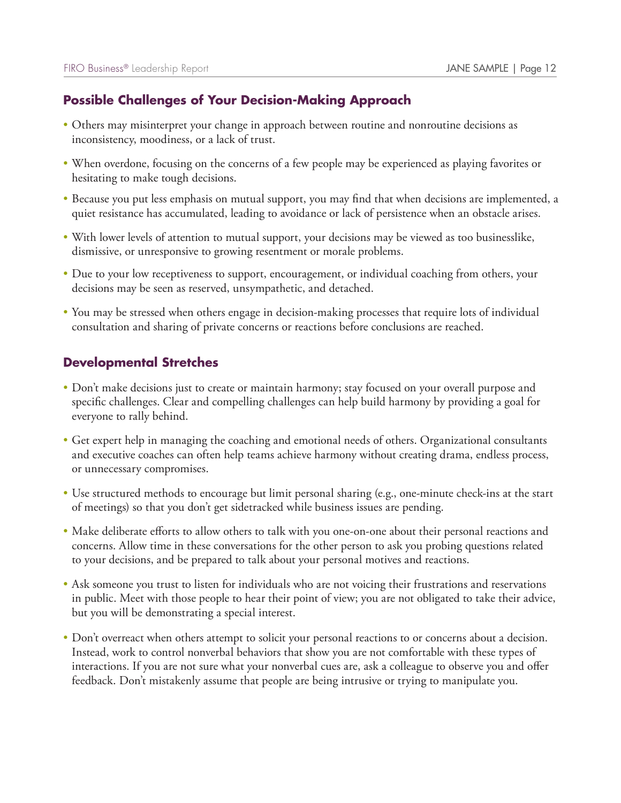## **Possible Challenges of Your Decision-Making Approach**

- Others may misinterpret your change in approach between routine and nonroutine decisions as inconsistency, moodiness, or a lack of trust.
- When overdone, focusing on the concerns of a few people may be experienced as playing favorites or hesitating to make tough decisions.
- Because you put less emphasis on mutual support, you may find that when decisions are implemented, a quiet resistance has accumulated, leading to avoidance or lack of persistence when an obstacle arises.
- With lower levels of attention to mutual support, your decisions may be viewed as too businesslike, dismissive, or unresponsive to growing resentment or morale problems.
- Due to your low receptiveness to support, encouragement, or individual coaching from others, your decisions may be seen as reserved, unsympathetic, and detached.
- You may be stressed when others engage in decision-making processes that require lots of individual consultation and sharing of private concerns or reactions before conclusions are reached.

- Don't make decisions just to create or maintain harmony; stay focused on your overall purpose and specific challenges. Clear and compelling challenges can help build harmony by providing a goal for everyone to rally behind.
- Get expert help in managing the coaching and emotional needs of others. Organizational consultants and executive coaches can often help teams achieve harmony without creating drama, endless process, or unnecessary compromises.
- Use structured methods to encourage but limit personal sharing (e.g., one-minute check-ins at the start of meetings) so that you don't get sidetracked while business issues are pending.
- Make deliberate efforts to allow others to talk with you one-on-one about their personal reactions and concerns. Allow time in these conversations for the other person to ask you probing questions related to your decisions, and be prepared to talk about your personal motives and reactions.
- Ask someone you trust to listen for individuals who are not voicing their frustrations and reservations in public. Meet with those people to hear their point of view; you are not obligated to take their advice, but you will be demonstrating a special interest.
- Don't overreact when others attempt to solicit your personal reactions to or concerns about a decision. Instead, work to control nonverbal behaviors that show you are not comfortable with these types of interactions. If you are not sure what your nonverbal cues are, ask a colleague to observe you and offer feedback. Don't mistakenly assume that people are being intrusive or trying to manipulate you.